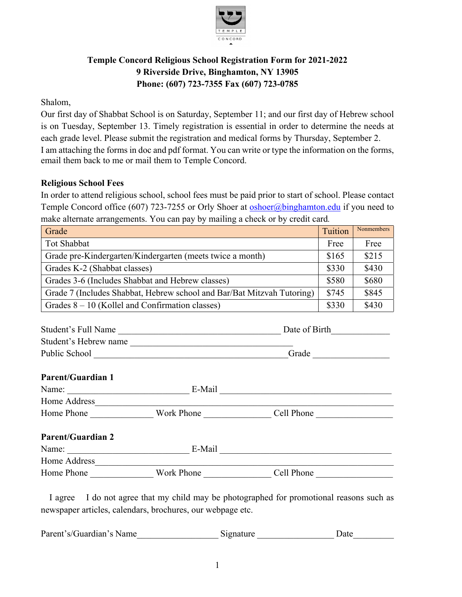

## **Temple Concord Religious School Registration Form for 2021-2022 9 Riverside Drive, Binghamton, NY 13905 Phone: (607) 723-7355 Fax (607) 723-0785**

Shalom,

Our first day of Shabbat School is on Saturday, September 11; and our first day of Hebrew school is on Tuesday, September 13. Timely registration is essential in order to determine the needs at each grade level. Please submit the registration and medical forms by Thursday, September 2. I am attaching the forms in doc and pdf format. You can write or type the information on the forms, email them back to me or mail them to Temple Concord.

## **Religious School Fees**

In order to attend religious school, school fees must be paid prior to start of school. Please contact Temple Concord office (607) 723-7255 or Orly Shoer at **oshoer@binghamton.edu** if you need to make alternate arrangements. You can pay by mailing a check or by credit card*.* 

| Grade                                                                  | Tuition | Nonmembers |
|------------------------------------------------------------------------|---------|------------|
| Tot Shabbat                                                            | Free    | Free       |
| Grade pre-Kindergarten/Kindergarten (meets twice a month)              | \$165   | \$215      |
| Grades K-2 (Shabbat classes)                                           | \$330   | \$430      |
| Grades 3-6 (Includes Shabbat and Hebrew classes)                       | \$580   | \$680      |
| Grade 7 (Includes Shabbat, Hebrew school and Bar/Bat Mitzvah Tutoring) | \$745   | \$845      |
| Grades $8 - 10$ (Kollel and Confirmation classes)                      | \$330   | \$430      |

| Student's Full Name      |            | Date of Birth |  |
|--------------------------|------------|---------------|--|
| Student's Hebrew name    |            |               |  |
| Public School            |            | Grade         |  |
|                          |            |               |  |
| <b>Parent/Guardian 1</b> |            |               |  |
| Name:                    | E-Mail     |               |  |
| Home Address             |            |               |  |
| Home Phone               | Work Phone | Cell Phone    |  |
|                          |            |               |  |

## **Parent/Guardian 2** Name: \_\_\_\_\_\_\_\_\_\_\_\_\_\_\_\_\_\_\_\_\_\_\_\_\_\_\_ E-Mail \_\_\_\_\_\_\_\_\_\_\_\_\_\_\_\_\_\_\_\_\_\_\_\_\_\_\_\_\_\_\_\_\_\_\_\_\_\_ Home Address Home Phone \_\_\_\_\_\_\_\_\_\_\_\_\_\_ Work Phone \_\_\_\_\_\_\_\_\_\_\_\_\_\_\_ Cell Phone \_\_\_\_\_\_\_\_\_\_\_\_\_\_\_\_\_

 I agree I do not agree that my child may be photographed for promotional reasons such as newspaper articles, calendars, brochures, our webpage etc.

Parent's/Guardian's Name Signature Signature Date